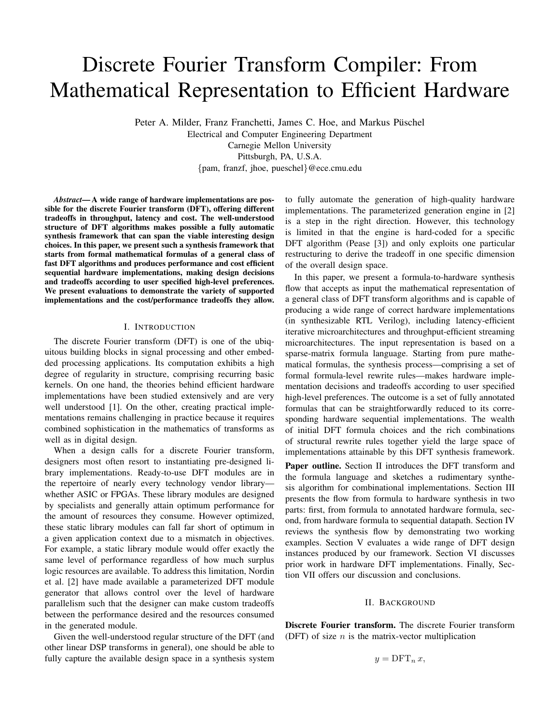# Discrete Fourier Transform Compiler: From Mathematical Representation to Efficient Hardware

Peter A. Milder, Franz Franchetti, James C. Hoe, and Markus Püschel Electrical and Computer Engineering Department Carnegie Mellon University Pittsburgh, PA, U.S.A. {pam, franzf, jhoe, pueschel}@ece.cmu.edu

*Abstract***— A wide range of hardware implementations are possible for the discrete Fourier transform (DFT), offering different tradeoffs in throughput, latency and cost. The well-understood structure of DFT algorithms makes possible a fully automatic synthesis framework that can span the viable interesting design choices. In this paper, we present such a synthesis framework that starts from formal mathematical formulas of a general class of fast DFT algorithms and produces performance and cost efficient sequential hardware implementations, making design decisions and tradeoffs according to user specified high-level preferences. We present evaluations to demonstrate the variety of supported implementations and the cost/performance tradeoffs they allow.**

# I. INTRODUCTION

The discrete Fourier transform (DFT) is one of the ubiquitous building blocks in signal processing and other embedded processing applications. Its computation exhibits a high degree of regularity in structure, comprising recurring basic kernels. On one hand, the theories behind efficient hardware implementations have been studied extensively and are very well understood [1]. On the other, creating practical implementations remains challenging in practice because it requires combined sophistication in the mathematics of transforms as well as in digital design.

When a design calls for a discrete Fourier transform, designers most often resort to instantiating pre-designed library implementations. Ready-to-use DFT modules are in the repertoire of nearly every technology vendor library whether ASIC or FPGAs. These library modules are designed by specialists and generally attain optimum performance for the amount of resources they consume. However optimized, these static library modules can fall far short of optimum in a given application context due to a mismatch in objectives. For example, a static library module would offer exactly the same level of performance regardless of how much surplus logic resources are available. To address this limitation, Nordin et al. [2] have made available a parameterized DFT module generator that allows control over the level of hardware parallelism such that the designer can make custom tradeoffs between the performance desired and the resources consumed in the generated module.

Given the well-understood regular structure of the DFT (and other linear DSP transforms in general), one should be able to fully capture the available design space in a synthesis system to fully automate the generation of high-quality hardware implementations. The parameterized generation engine in [2] is a step in the right direction. However, this technology is limited in that the engine is hard-coded for a specific DFT algorithm (Pease [3]) and only exploits one particular restructuring to derive the tradeoff in one specific dimension of the overall design space.

In this paper, we present a formula-to-hardware synthesis flow that accepts as input the mathematical representation of a general class of DFT transform algorithms and is capable of producing a wide range of correct hardware implementations (in synthesizable RTL Verilog), including latency-efficient iterative microarchitectures and throughput-efficient streaming microarchitectures. The input representation is based on a sparse-matrix formula language. Starting from pure mathematical formulas, the synthesis process—comprising a set of formal formula-level rewrite rules—makes hardware implementation decisions and tradeoffs according to user specified high-level preferences. The outcome is a set of fully annotated formulas that can be straightforwardly reduced to its corresponding hardware sequential implementations. The wealth of initial DFT formula choices and the rich combinations of structural rewrite rules together yield the large space of implementations attainable by this DFT synthesis framework.

Paper outline. Section II introduces the DFT transform and the formula language and sketches a rudimentary synthesis algorithm for combinational implementations. Section III presents the flow from formula to hardware synthesis in two parts: first, from formula to annotated hardware formula, second, from hardware formula to sequential datapath. Section IV reviews the synthesis flow by demonstrating two working examples. Section V evaluates a wide range of DFT design instances produced by our framework. Section VI discusses prior work in hardware DFT implementations. Finally, Section VII offers our discussion and conclusions.

### II. BACKGROUND

**Discrete Fourier transform.** The discrete Fourier transform (DFT) of size  $n$  is the matrix-vector multiplication

$$
y = \text{DFT}_n x,
$$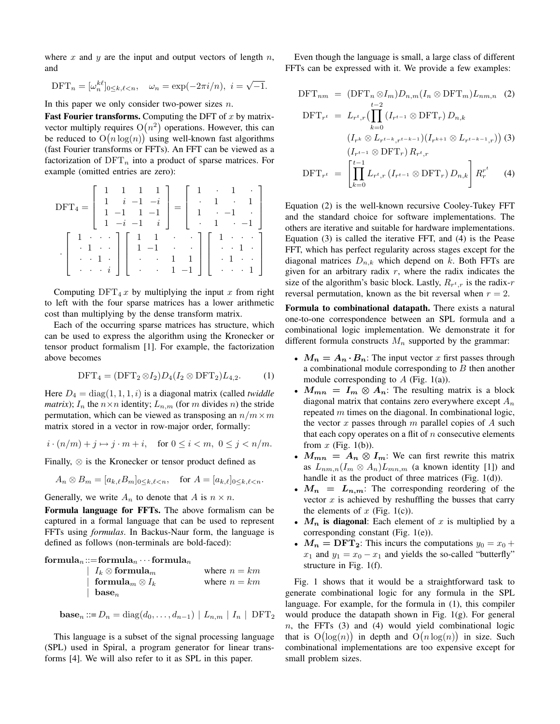where x and y are the input and output vectors of length  $n$ , and

$$
\text{DFT}_n = [\omega_n^{k\ell}]_{0 \le k,\ell < n}, \quad \omega_n = \exp(-2\pi i/n), \ i = \sqrt{-1}.
$$

In this paper we only consider two-power sizes  $n$ .

**Fast Fourier transforms.** Computing the DFT of  $x$  by matrixvector multiply requires  $O(n^2)$  operations. However, this can be reduced to  $O(n \log(n))$  using well-known fast algorithms (fast Fourier transforms or FFTs). An FFT can be viewed as a factorization of  $DFT_n$  into a product of sparse matrices. For example (omitted entries are zero):

$$
DFT_4 = \begin{bmatrix} 1 & 1 & 1 & 1 \\ 1 & i & -1 & -i \\ 1 & -1 & 1 & -1 \\ 1 & -i & -1 & i \end{bmatrix} = \begin{bmatrix} 1 & \cdot & 1 & \cdot \\ \cdot & 1 & \cdot & 1 \\ 1 & \cdot & -1 & \cdot \\ \cdot & 1 & \cdot & -1 \end{bmatrix}
$$

$$
\cdot \begin{bmatrix} 1 & \cdot & \cdot & \cdot \\ \cdot & 1 & \cdot & \cdot \\ \cdot & 1 & \cdot & \cdot \\ \cdot & \cdot & i & \cdot \end{bmatrix} \begin{bmatrix} 1 & 1 & \cdot & \cdot & \cdot \\ 1 & -1 & \cdot & \cdot & \cdot \\ \cdot & 1 & -1 & 1 \\ \cdot & \cdot & 1 & -1 \end{bmatrix} \begin{bmatrix} 1 & \cdot & \cdot & \cdot \\ \cdot & 1 & \cdot & \cdot \\ \cdot & 1 & \cdot & \cdot \\ \cdot & \cdot & \cdot & 1 \end{bmatrix}
$$

Computing  $DFT_4 x$  by multiplying the input x from right to left with the four sparse matrices has a lower arithmetic cost than multiplying by the dense transform matrix.

Each of the occurring sparse matrices has structure, which can be used to express the algorithm using the Kronecker or tensor product formalism [1]. For example, the factorization above becomes

$$
\text{DFT}_4 = (\text{DFT}_2 \otimes I_2) D_4 (I_2 \otimes \text{DFT}_2) L_{4,2}. \tag{1}
$$

Here  $D_4 = \text{diag}(1, 1, 1, i)$  is a diagonal matrix (called *twiddle matrix*);  $I_n$  the  $n \times n$  identity;  $L_{n,m}$  (for m divides n) the stride permutation, which can be viewed as transposing an  $n/m \times m$ matrix stored in a vector in row-major order, formally:

$$
i \cdot (n/m) + j \mapsto j \cdot m + i, \quad \text{for } 0 \le i < m, \ 0 \le j < n/m.
$$

Finally, ⊗ is the Kronecker or tensor product defined as

$$
A_n \otimes B_m = [a_{k,\ell} B_m]_{0 \le k,\ell < n}, \quad \text{for } A = [a_{k,\ell}]_{0 \le k,\ell < n}.
$$

Generally, we write  $A_n$  to denote that A is  $n \times n$ .

**Formula language for FFTs.** The above formalism can be captured in a formal language that can be used to represent FFTs using *formulas*. In Backus-Naur form, the language is defined as follows (non-terminals are bold-faced):

 $formula_n ::= formula_n \cdots formula_n$ 

| $\mid\ I_{k}\otimes\mathbf{formula}_{m}$     | where $n = km$ |
|----------------------------------------------|----------------|
| $\;\; \;\; {\mathbf{formula}}_m \otimes I_k$ | where $n = km$ |
| $\vert$ base <sub>n</sub>                    |                |

$$
\mathbf{base}_n ::= D_n = \text{diag}(d_0, \dots, d_{n-1}) | L_{n,m} | I_n | \text{DFT}_2
$$

This language is a subset of the signal processing language (SPL) used in Spiral, a program generator for linear transforms [4]. We will also refer to it as SPL in this paper.

Even though the language is small, a large class of different FFTs can be expressed with it. We provide a few examples:

$$
\text{DFT}_{nm} = (\text{DFT}_n \otimes I_m) D_{n,m} (I_n \otimes \text{DFT}_m) L_{nm,n} \quad (2)
$$
\n
$$
\text{DFT}_{r^t} = L_{r^t,r} \left( \prod_{k=0}^{t-2} (I_{r^{t-1}} \otimes \text{DFT}_r) D_{n,k} \right)
$$
\n
$$
(I_{r^k} \otimes L_{r^{t-k},r^{t-k-1}}) (I_{r^{k+1}} \otimes L_{r^{t-k-1},r}) \quad (3)
$$
\n
$$
(I_{r^{t-1}} \otimes \text{DFT}_r) R_{r^t,r}
$$
\n
$$
\text{DFT}_{r^t} = \left[ \prod_{k=0}^{t-1} L_{r^t,r} (I_{r^{t-1}} \otimes \text{DFT}_r) D_{n,k} \right] R_r^{r^t} \quad (4)
$$

Equation (2) is the well-known recursive Cooley-Tukey FFT and the standard choice for software implementations. The others are iterative and suitable for hardware implementations. Equation (3) is called the iterative FFT, and (4) is the Pease FFT, which has perfect regularity across stages except for the diagonal matrices  $D_{n,k}$  which depend on k. Both FFTs are given for an arbitrary radix  $r$ , where the radix indicates the size of the algorithm's basic block. Lastly,  $R_{r^t,r}$  is the radix-r reversal permutation, known as the bit reversal when  $r = 2$ .

**Formula to combinational datapath.** There exists a natural one-to-one correspondence between an SPL formula and a combinational logic implementation. We demonstrate it for different formula constructs  $M_n$  supported by the grammar:

- $M_n = A_n \cdot B_n$ : The input vector x first passes through a combinational module corresponding to  $B$  then another module corresponding to  $A$  (Fig. 1(a)).
- $M_{mn} = I_m \otimes A_n$ : The resulting matrix is a block diagonal matrix that contains zero everywhere except  $A_n$ repeated  $m$  times on the diagonal. In combinational logic, the vector x passes through  $m$  parallel copies of  $A$  such that each copy operates on a flit of  $n$  consecutive elements from  $x$  (Fig. 1(b)).
- $M_{mn} = A_n \otimes I_m$ : We can first rewrite this matrix as  $L_{nm,n}(I_m \otimes A_n) L_{mn,m}$  (a known identity [1]) and handle it as the product of three matrices (Fig. 1(d)).
- $M_n = L_{n,m}$ : The corresponding reordering of the vector  $x$  is achieved by reshuffling the busses that carry the elements of  $x$  (Fig. 1(c)).
- $M_n$  is diagonal: Each element of x is multiplied by a corresponding constant (Fig. 1(e)).
- $M_n = \text{DFT}_2$ : This incurs the computations  $y_0 = x_0 +$  $x_1$  and  $y_1 = x_0 - x_1$  and yields the so-called "butterfly" structure in Fig. 1(f).

Fig. 1 shows that it would be a straightforward task to generate combinational logic for any formula in the SPL language. For example, for the formula in (1), this compiler would produce the datapath shown in Fig. 1(g). For general  $n$ , the FFTs (3) and (4) would yield combinational logic that is  $O(log(n))$  in depth and  $O(n \log(n))$  in size. Such combinational implementations are too expensive except for small problem sizes.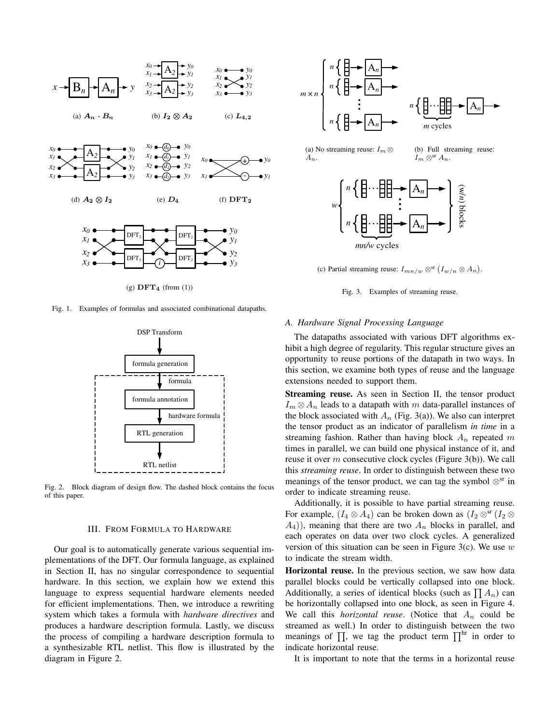

Fig. 1. Examples of formulas and associated combinational datapaths.



Fig. 2. Block diagram of design flow. The dashed block contains the focus of this paper.

# III. FROM FORMULA TO HARDWARE

Our goal is to automatically generate various sequential implementations of the DFT. Our formula language, as explained in Section II, has no singular correspondence to sequential hardware. In this section, we explain how we extend this language to express sequential hardware elements needed for efficient implementations. Then, we introduce a rewriting system which takes a formula with *hardware directives* and produces a hardware description formula. Lastly, we discuss the process of compiling a hardware description formula to a synthesizable RTL netlist. This flow is illustrated by the diagram in Figure 2.



(c) Partial streaming reuse:  $I_{mn/w} \otimes^{sr} (I_{w/n} \otimes A_n)$ .

Fig. 3. Examples of streaming reuse.

#### *A. Hardware Signal Processing Language*

The datapaths associated with various DFT algorithms exhibit a high degree of regularity. This regular structure gives an opportunity to reuse portions of the datapath in two ways. In this section, we examine both types of reuse and the language extensions needed to support them.

**Streaming reuse.** As seen in Section II, the tensor product  $I_m \otimes A_n$  leads to a datapath with m data-parallel instances of the block associated with  $A_n$  (Fig. 3(a)). We also can interpret the tensor product as an indicator of parallelism *in time* in a streaming fashion. Rather than having block  $A_n$  repeated m times in parallel, we can build one physical instance of it, and reuse it over m consecutive clock cycles (Figure 3(b)). We call this *streaming reuse*. In order to distinguish between these two meanings of the tensor product, we can tag the symbol  $\otimes^{\text{sr}}$  in order to indicate streaming reuse.

Additionally, it is possible to have partial streaming reuse. For example,  $(I_4 \otimes A_4)$  can be broken down as  $(I_2 \otimes$ <sup>sr</sup>  $(I_2 \otimes$  $(A_4)$ ), meaning that there are two  $A_n$  blocks in parallel, and each operates on data over two clock cycles. A generalized version of this situation can be seen in Figure 3(c). We use  $w$ to indicate the stream width.

**Horizontal reuse.** In the previous section, we saw how data parallel blocks could be vertically collapsed into one block. Additionally, a series of identical blocks (such as  $\prod A_n$ ) can be horizontally collapsed into one block, as seen in Figure 4. We call this *horizontal reuse*. (Notice that  $A_n$  could be streamed as well.) In order to distinguish between the two meanings of  $\prod$ , we tag the product term  $\prod^{hr}$  in order to indicate horizontal reuse.

It is important to note that the terms in a horizontal reuse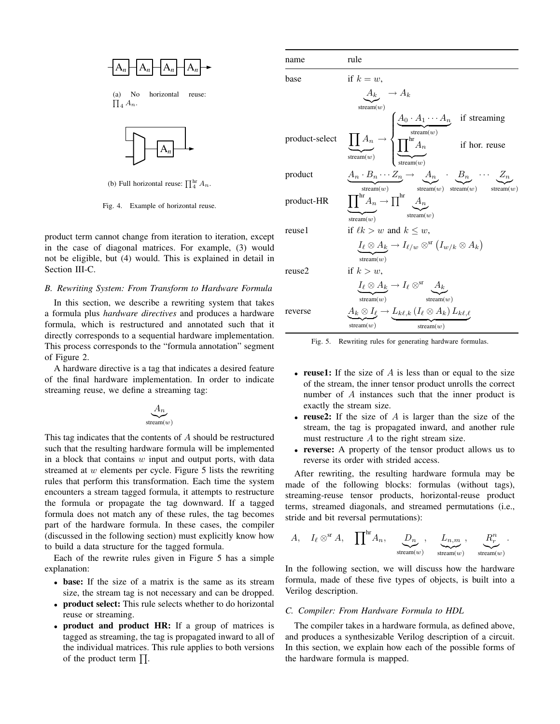

(a) No horizontal reuse:  $\prod_4 A_n$ .



(b) Full horizontal reuse:  $\prod_{i=1}^{\text{hr}} A_n$ .

Fig. 4. Example of horizontal reuse.

product term cannot change from iteration to iteration, except in the case of diagonal matrices. For example, (3) would not be eligible, but (4) would. This is explained in detail in Section III-C.

# *B. Rewriting System: From Transform to Hardware Formula*

In this section, we describe a rewriting system that takes a formula plus *hardware directives* and produces a hardware formula, which is restructured and annotated such that it directly corresponds to a sequential hardware implementation. This process corresponds to the "formula annotation" segment of Figure 2.

A hardware directive is a tag that indicates a desired feature of the final hardware implementation. In order to indicate streaming reuse, we define a streaming tag:

$$
\underbrace{A_n}_{\text{stream}(w)}
$$

This tag indicates that the contents of  $A$  should be restructured such that the resulting hardware formula will be implemented in a block that contains  $w$  input and output ports, with data streamed at  $w$  elements per cycle. Figure 5 lists the rewriting rules that perform this transformation. Each time the system encounters a stream tagged formula, it attempts to restructure the formula or propagate the tag downward. If a tagged formula does not match any of these rules, the tag becomes part of the hardware formula. In these cases, the compiler (discussed in the following section) must explicitly know how to build a data structure for the tagged formula.

Each of the rewrite rules given in Figure 5 has a simple explanation:

- **base:** If the size of a matrix is the same as its stream size, the stream tag is not necessary and can be dropped.
- **product select:** This rule selects whether to do horizontal reuse or streaming.
- **product and product HR:** If a group of matrices is tagged as streaming, the tag is propagated inward to all of the individual matrices. This rule applies to both versions of the product term  $\prod$ .

| name           | rule                                                                                                                                                                                                                                      |
|----------------|-------------------------------------------------------------------------------------------------------------------------------------------------------------------------------------------------------------------------------------------|
| base           | if $k = w$ ,                                                                                                                                                                                                                              |
|                | $A_k \rightarrow A_k$                                                                                                                                                                                                                     |
|                | stream $(w)$                                                                                                                                                                                                                              |
| product-select | $\underbrace{\prod A_n}_{\text{stream}(w)} \rightarrow \begin{cases} \underbrace{A_0 \cdot A_1 \cdots A_n}_{\text{stream}(w)} & \text{if streaming} \\ \underbrace{\prod^{hr} A_n}_{\text{stream}(w)} & \text{if hor. reuse} \end{cases}$ |
| product        | $\underbrace{A_n\cdot B_n\cdots Z_n}_{\mathrm{stream}(w)}\rightarrow\underbrace{A_n}_{\mathrm{stream}(w)}\underbrace{B_n}_{\mathrm{stream}(w)}\cdots\underbrace{Z_n}_{\mathrm{stream}(w)}$                                                |
| product-HR     | $\underbrace{\prod}^{\text{hr}}\!A_n \to \prod^{\text{hr}}\underbrace{A_n}_{\text{stream}(u)}$<br>stream $(w)$                                                                                                                            |
| reusel         | if $\ell k > w$ and $k \leq w$ ,                                                                                                                                                                                                          |
|                | $\underline{I_{\ell} \otimes A_k} \to I_{\ell/w} \otimes^{\rm sr} (I_{w/k} \otimes A_k)$<br>stream( $w$ )                                                                                                                                 |
| reuse2         | if $k > w$ ,                                                                                                                                                                                                                              |
|                | $I_{\ell} \otimes A_k \to I_{\ell} \otimes^{\rm sr} \underbrace{A_k}_{\text{stream}(w)}$                                                                                                                                                  |
| reverse        | $\underline{A_k \otimes I_\ell} \rightarrow L_{k\ell,k}$ $(I_\ell \otimes A_k) L_{k\ell,\ell}$                                                                                                                                            |
|                | stream $(w)$<br>stream $(w)$                                                                                                                                                                                                              |

Fig. 5. Rewriting rules for generating hardware formulas.

- **reuse1:** If the size of A is less than or equal to the size of the stream, the inner tensor product unrolls the correct number of A instances such that the inner product is exactly the stream size.
- **reuse2:** If the size of  $A$  is larger than the size of the stream, the tag is propagated inward, and another rule must restructure A to the right stream size.
- **reverse:** A property of the tensor product allows us to reverse its order with strided access.

After rewriting, the resulting hardware formula may be made of the following blocks: formulas (without tags), streaming-reuse tensor products, horizontal-reuse product terms, streamed diagonals, and streamed permutations (i.e., stride and bit reversal permutations):

$$
A, \quad I_{\ell} \otimes^{\rm sr} A, \quad \prod^{\rm hr} A_n, \quad \underbrace{D_n}_{\rm stream(w)}, \quad \underbrace{L_{n,m}}_{\rm stream(w)}, \quad \underbrace{R_r^n}_{\rm stream(w)}.
$$

In the following section, we will discuss how the hardware formula, made of these five types of objects, is built into a Verilog description.

## *C. Compiler: From Hardware Formula to HDL*

The compiler takes in a hardware formula, as defined above, and produces a synthesizable Verilog description of a circuit. In this section, we explain how each of the possible forms of the hardware formula is mapped.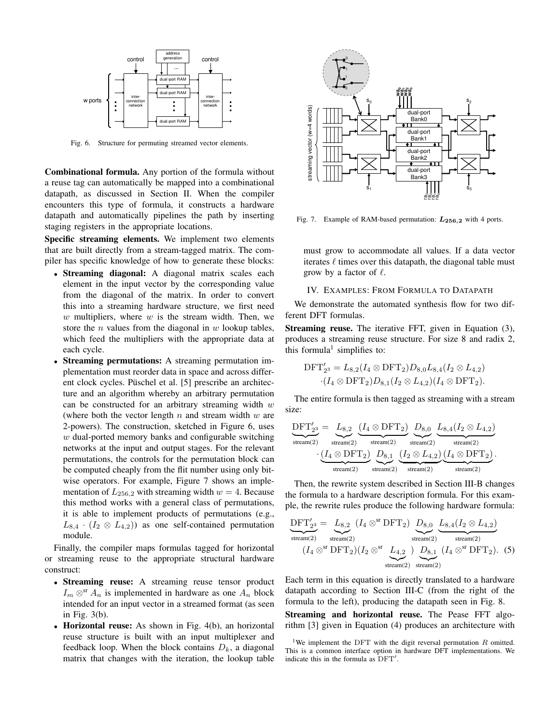

Fig. 6. Structure for permuting streamed vector elements.

**Combinational formula.** Any portion of the formula without a reuse tag can automatically be mapped into a combinational datapath, as discussed in Section II. When the compiler encounters this type of formula, it constructs a hardware datapath and automatically pipelines the path by inserting staging registers in the appropriate locations.

**Specific streaming elements.** We implement two elements that are built directly from a stream-tagged matrix. The compiler has specific knowledge of how to generate these blocks:

- **Streaming diagonal:** A diagonal matrix scales each element in the input vector by the corresponding value from the diagonal of the matrix. In order to convert this into a streaming hardware structure, we first need  $w$  multipliers, where  $w$  is the stream width. Then, we store the *n* values from the diagonal in  $w$  lookup tables, which feed the multipliers with the appropriate data at each cycle.
- **Streaming permutations:** A streaming permutation implementation must reorder data in space and across different clock cycles. Püschel et al. [5] prescribe an architecture and an algorithm whereby an arbitrary permutation can be constructed for an arbitrary streaming width  $w$ (where both the vector length  $n$  and stream width  $w$  are 2-powers). The construction, sketched in Figure 6, uses  $w$  dual-ported memory banks and configurable switching networks at the input and output stages. For the relevant permutations, the controls for the permutation block can be computed cheaply from the flit number using only bitwise operators. For example, Figure 7 shows an implementation of  $L_{256,2}$  with streaming width  $w = 4$ . Because this method works with a general class of permutations, it is able to implement products of permutations (e.g.,  $L_{8,4} \cdot (I_2 \otimes L_{4,2})$  as one self-contained permutation module.

Finally, the compiler maps formulas tagged for horizontal or streaming reuse to the appropriate structural hardware construct:

- **Streaming reuse:** A streaming reuse tensor product  $I_m \otimes^{\text{sr}} A_n$  is implemented in hardware as one  $A_n$  block intended for an input vector in a streamed format (as seen in Fig. 3(b).
- **Horizontal reuse:** As shown in Fig. 4(b), an horizontal reuse structure is built with an input multiplexer and feedback loop. When the block contains  $D_k$ , a diagonal matrix that changes with the iteration, the lookup table



Fig. 7. Example of RAM-based permutation:  $L_{256,2}$  with 4 ports.

must grow to accommodate all values. If a data vector iterates  $\ell$  times over this datapath, the diagonal table must grow by a factor of  $\ell$ .

# IV. EXAMPLES: FROM FORMULA TO DATAPATH

We demonstrate the automated synthesis flow for two different DFT formulas.

**Streaming reuse.** The iterative FFT, given in Equation (3), produces a streaming reuse structure. For size 8 and radix 2, this formula<sup>1</sup> simplifies to:

$$
DFT'_{2^3} = L_{8,2}(I_4 \otimes DFT_2)D_{8,0}L_{8,4}(I_2 \otimes L_{4,2})
$$
  
·( $I_4 \otimes DFT_2$ ) $D_{8,1}(I_2 \otimes L_{4,2})$ ( $I_4 \otimes DFT_2$ ).

The entire formula is then tagged as streaming with a stream size:

$$
\underbrace{\text{DFT}'_{2^3}}_{\text{stream}(2)} = \underbrace{L_{8,2}}_{\text{stream}(2)} \underbrace{\text{(\textit{I}_4 \otimes \text{DFT}_2)}_{\text{stream}(2)} \underbrace{D_{8,0}}_{\text{stream}(2)} \underbrace{L_{8,4} (I_2 \otimes L_{4,2})}_{\text{stream}(2)} }_{\text{stream}(2)} \underbrace{\text{(\textit{I}_4 \otimes \text{DFT}_2)}_{\text{stream}(2)}}_{\text{stream}(2)}.
$$

Then, the rewrite system described in Section III-B changes the formula to a hardware description formula. For this example, the rewrite rules produce the following hardware formula:

$$
\underbrace{\mathrm{DFT}'_{23}}_{\text{stream}(2)} = \underbrace{L_{8,2}}_{\text{stream}(2)} (I_4 \otimes^{\text{sr}} \mathrm{DFT}_2) \underbrace{D_{8,0}}_{\text{stream}(2)} \underbrace{L_{8,4}(I_2 \otimes L_{4,2})}_{\text{stream}(2)}
$$

$$
(I_4 \otimes^{\text{sr}} \mathrm{DFT}_2)(I_2 \otimes^{\text{sr}} \underbrace{L_{4,2}}_{\text{stream}(2)} ) \underbrace{D_{8,1}}_{\text{stream}(2)} (I_4 \otimes^{\text{sr}} \mathrm{DFT}_2). (5)
$$

Each term in this equation is directly translated to a hardware datapath according to Section III-C (from the right of the formula to the left), producing the datapath seen in Fig. 8.

**Streaming and horizontal reuse.** The Pease FFT algorithm [3] given in Equation (4) produces an architecture with

<sup>&</sup>lt;sup>1</sup>We implement the DFT with the digit reversal permutation  $R$  omitted. This is a common interface option in hardware DFT implementations. We indicate this in the formula as DFT′ .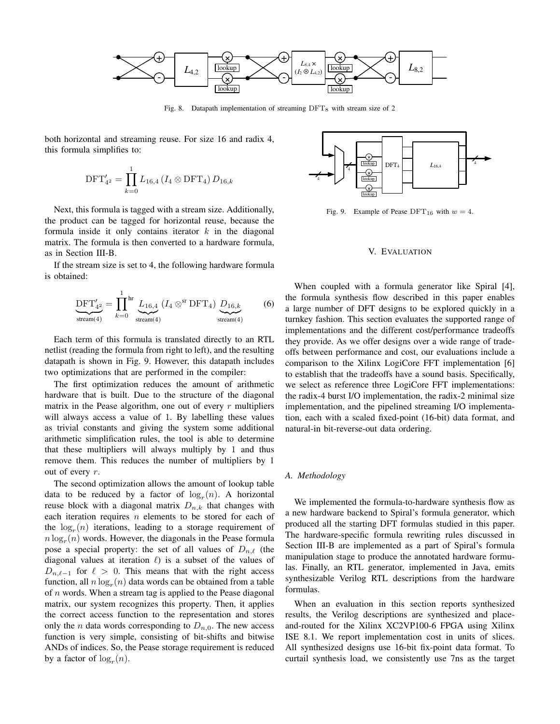

Fig. 8. Datapath implementation of streaming  $DFT_8$  with stream size of 2

both horizontal and streaming reuse. For size 16 and radix 4, this formula simplifies to:

$$
\text{DFT}_{4^2}' = \prod_{k=0}^1 L_{16,4} \left( I_4 \otimes \text{DFT}_4 \right) D_{16,k}
$$

Next, this formula is tagged with a stream size. Additionally, the product can be tagged for horizontal reuse, because the formula inside it only contains iterator  $k$  in the diagonal matrix. The formula is then converted to a hardware formula, as in Section III-B.

If the stream size is set to 4, the following hardware formula is obtained:

$$
\underbrace{\text{DFT}'_{4^2}}_{\text{stream}(4)} = \prod_{k=0}^{1} {}^{hr} \underbrace{L_{16,4}}_{\text{stream}(4)} (I_4 \otimes {}^{sr} \text{DFT}_4) \underbrace{D_{16,k}}_{\text{stream}(4)} \tag{6}
$$

Each term of this formula is translated directly to an RTL netlist (reading the formula from right to left), and the resulting datapath is shown in Fig. 9. However, this datapath includes two optimizations that are performed in the compiler:

The first optimization reduces the amount of arithmetic hardware that is built. Due to the structure of the diagonal matrix in the Pease algorithm, one out of every  $r$  multipliers will always access a value of 1. By labelling these values as trivial constants and giving the system some additional arithmetic simplification rules, the tool is able to determine that these multipliers will always multiply by 1 and thus remove them. This reduces the number of multipliers by 1 out of every  $r$ .

The second optimization allows the amount of lookup table data to be reduced by a factor of  $log<sub>r</sub>(n)$ . A horizontal reuse block with a diagonal matrix  $D_{n,k}$  that changes with each iteration requires  $n$  elements to be stored for each of the  $log<sub>r</sub>(n)$  iterations, leading to a storage requirement of  $n \log_r(n)$  words. However, the diagonals in the Pease formula pose a special property: the set of all values of  $D_{n,\ell}$  (the diagonal values at iteration  $\ell$ ) is a subset of the values of  $D_{n,\ell-1}$  for  $\ell > 0$ . This means that with the right access function, all  $n \log_r(n)$  data words can be obtained from a table of  $n$  words. When a stream tag is applied to the Pease diagonal matrix, our system recognizes this property. Then, it applies the correct access function to the representation and stores only the *n* data words corresponding to  $D_{n,0}$ . The new access function is very simple, consisting of bit-shifts and bitwise ANDs of indices. So, the Pease storage requirement is reduced by a factor of  $log<sub>r</sub>(n)$ .



Fig. 9. Example of Pease DFT<sub>16</sub> with  $w = 4$ .

# V. EVALUATION

When coupled with a formula generator like Spiral [4], the formula synthesis flow described in this paper enables a large number of DFT designs to be explored quickly in a turnkey fashion. This section evaluates the supported range of implementations and the different cost/performance tradeoffs they provide. As we offer designs over a wide range of tradeoffs between performance and cost, our evaluations include a comparison to the Xilinx LogiCore FFT implementation [6] to establish that the tradeoffs have a sound basis. Specifically, we select as reference three LogiCore FFT implementations: the radix-4 burst I/O implementation, the radix-2 minimal size implementation, and the pipelined streaming I/O implementation, each with a scaled fixed-point (16-bit) data format, and natural-in bit-reverse-out data ordering.

# *A. Methodology*

We implemented the formula-to-hardware synthesis flow as a new hardware backend to Spiral's formula generator, which produced all the starting DFT formulas studied in this paper. The hardware-specific formula rewriting rules discussed in Section III-B are implemented as a part of Spiral's formula manipulation stage to produce the annotated hardware formulas. Finally, an RTL generator, implemented in Java, emits synthesizable Verilog RTL descriptions from the hardware formulas.

When an evaluation in this section reports synthesized results, the Verilog descriptions are synthesized and placeand-routed for the Xilinx XC2VP100-6 FPGA using Xilinx ISE 8.1. We report implementation cost in units of slices. All synthesized designs use 16-bit fix-point data format. To curtail synthesis load, we consistently use 7ns as the target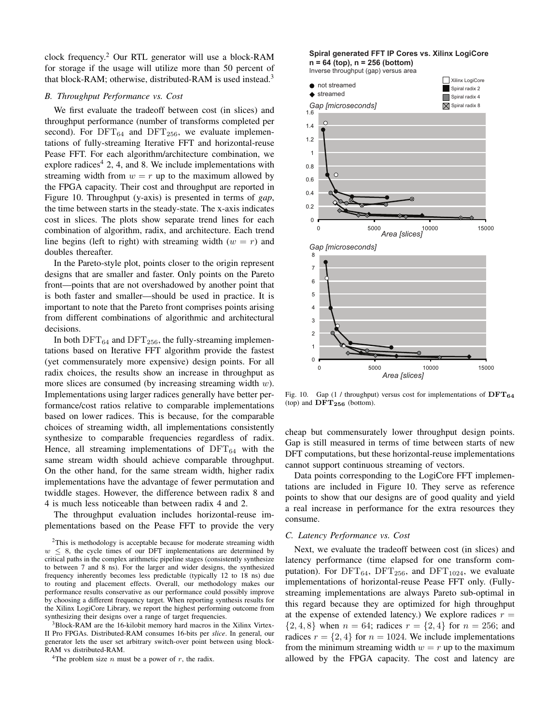clock frequency.<sup>2</sup> Our RTL generator will use a block-RAM for storage if the usage will utilize more than 50 percent of that block-RAM; otherwise, distributed-RAM is used instead.<sup>3</sup>

# *B. Throughput Performance vs. Cost*

We first evaluate the tradeoff between cost (in slices) and throughput performance (number of transforms completed per second). For  $DFT_{64}$  and  $DFT_{256}$ , we evaluate implementations of fully-streaming Iterative FFT and horizontal-reuse Pease FFT. For each algorithm/architecture combination, we explore radices<sup>4</sup> 2, 4, and 8. We include implementations with streaming width from  $w = r$  up to the maximum allowed by the FPGA capacity. Their cost and throughput are reported in Figure 10. Throughput (y-axis) is presented in terms of *gap*, the time between starts in the steady-state. The x-axis indicates cost in slices. The plots show separate trend lines for each combination of algorithm, radix, and architecture. Each trend line begins (left to right) with streaming width  $(w = r)$  and doubles thereafter.

In the Pareto-style plot, points closer to the origin represent designs that are smaller and faster. Only points on the Pareto front—points that are not overshadowed by another point that is both faster and smaller—should be used in practice. It is important to note that the Pareto front comprises points arising from different combinations of algorithmic and architectural decisions.

In both  $DFT_{64}$  and  $DFT_{256}$ , the fully-streaming implementations based on Iterative FFT algorithm provide the fastest (yet commensurately more expensive) design points. For all radix choices, the results show an increase in throughput as more slices are consumed (by increasing streaming width  $w$ ). Implementations using larger radices generally have better performance/cost ratios relative to comparable implementations based on lower radices. This is because, for the comparable choices of streaming width, all implementations consistently synthesize to comparable frequencies regardless of radix. Hence, all streaming implementations of  $DFT_{64}$  with the same stream width should achieve comparable throughput. On the other hand, for the same stream width, higher radix implementations have the advantage of fewer permutation and twiddle stages. However, the difference between radix 8 and 4 is much less noticeable than between radix 4 and 2.

The throughput evaluation includes horizontal-reuse implementations based on the Pease FFT to provide the very

<sup>3</sup>Block-RAM are the 16-kilobit memory hard macros in the Xilinx Virtex-II Pro FPGAs. Distributed-RAM consumes 16-bits per *slice*. In general, our generator lets the user set arbitrary switch-over point between using block-RAM vs distributed-RAM.

<sup>4</sup>The problem size *n* must be a power of *r*, the radix.

# **Spiral generated FFT IP Cores vs. Xilinx LogiCore n = 64 (top), n = 256 (bottom)**

Inverse throughput (gap) versus area



Fig. 10. Gap (1 / throughput) versus cost for implementations of  $DFT_{64}$ (top) and  $\text{DFT}_{256}$  (bottom).

cheap but commensurately lower throughput design points. Gap is still measured in terms of time between starts of new DFT computations, but these horizontal-reuse implementations cannot support continuous streaming of vectors.

Data points corresponding to the LogiCore FFT implementations are included in Figure 10. They serve as reference points to show that our designs are of good quality and yield a real increase in performance for the extra resources they consume.

#### *C. Latency Performance vs. Cost*

Next, we evaluate the tradeoff between cost (in slices) and latency performance (time elapsed for one transform computation). For  $DFT_{64}$ ,  $DFT_{256}$ , and  $DFT_{1024}$ , we evaluate implementations of horizontal-reuse Pease FFT only. (Fullystreaming implementations are always Pareto sub-optimal in this regard because they are optimized for high throughput at the expense of extended latency.) We explore radices  $r =$  $\{2, 4, 8\}$  when  $n = 64$ ; radices  $r = \{2, 4\}$  for  $n = 256$ ; and radices  $r = \{2, 4\}$  for  $n = 1024$ . We include implementations from the minimum streaming width  $w = r$  up to the maximum allowed by the FPGA capacity. The cost and latency are

<sup>2</sup>This is methodology is acceptable because for moderate streaming width  $w \leq 8$ , the cycle times of our DFT implementations are determined by critical paths in the complex arithmetic pipeline stages (consistently synthesize to between 7 and 8 ns). For the larger and wider designs, the synthesized frequency inherently becomes less predictable (typically 12 to 18 ns) due to routing and placement effects. Overall, our methodology makes our performance results conservative as our performance could possibly improve by choosing a different frequency target. When reporting synthesis results for the Xilinx LogiCore Library, we report the highest performing outcome from synthesizing their designs over a range of target frequencies.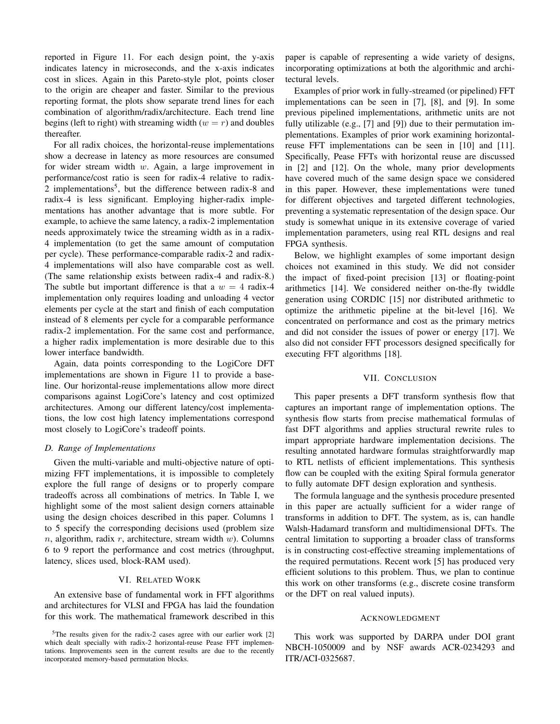reported in Figure 11. For each design point, the y-axis indicates latency in microseconds, and the x-axis indicates cost in slices. Again in this Pareto-style plot, points closer to the origin are cheaper and faster. Similar to the previous reporting format, the plots show separate trend lines for each combination of algorithm/radix/architecture. Each trend line begins (left to right) with streaming width  $(w = r)$  and doubles thereafter.

For all radix choices, the horizontal-reuse implementations show a decrease in latency as more resources are consumed for wider stream width  $w$ . Again, a large improvement in performance/cost ratio is seen for radix-4 relative to radix-2 implementations<sup>5</sup>, but the difference between radix-8 and radix-4 is less significant. Employing higher-radix implementations has another advantage that is more subtle. For example, to achieve the same latency, a radix-2 implementation needs approximately twice the streaming width as in a radix-4 implementation (to get the same amount of computation per cycle). These performance-comparable radix-2 and radix-4 implementations will also have comparable cost as well. (The same relationship exists between radix-4 and radix-8.) The subtle but important difference is that a  $w = 4$  radix-4 implementation only requires loading and unloading 4 vector elements per cycle at the start and finish of each computation instead of 8 elements per cycle for a comparable performance radix-2 implementation. For the same cost and performance, a higher radix implementation is more desirable due to this lower interface bandwidth.

Again, data points corresponding to the LogiCore DFT implementations are shown in Figure 11 to provide a baseline. Our horizontal-reuse implementations allow more direct comparisons against LogiCore's latency and cost optimized architectures. Among our different latency/cost implementations, the low cost high latency implementations correspond most closely to LogiCore's tradeoff points.

#### *D. Range of Implementations*

Given the multi-variable and multi-objective nature of optimizing FFT implementations, it is impossible to completely explore the full range of designs or to properly compare tradeoffs across all combinations of metrics. In Table I, we highlight some of the most salient design corners attainable using the design choices described in this paper. Columns 1 to 5 specify the corresponding decisions used (problem size  $n$ , algorithm, radix  $r$ , architecture, stream width  $w$ ). Columns 6 to 9 report the performance and cost metrics (throughput, latency, slices used, block-RAM used).

## VI. RELATED WORK

An extensive base of fundamental work in FFT algorithms and architectures for VLSI and FPGA has laid the foundation for this work. The mathematical framework described in this

 $5$ The results given for the radix-2 cases agree with our earlier work [2] which dealt specially with radix-2 horizontal-reuse Pease FFT implementations. Improvements seen in the current results are due to the recently incorporated memory-based permutation blocks.

paper is capable of representing a wide variety of designs, incorporating optimizations at both the algorithmic and architectural levels.

Examples of prior work in fully-streamed (or pipelined) FFT implementations can be seen in [7], [8], and [9]. In some previous pipelined implementations, arithmetic units are not fully utilizable (e.g., [7] and [9]) due to their permutation implementations. Examples of prior work examining horizontalreuse FFT implementations can be seen in [10] and [11]. Specifically, Pease FFTs with horizontal reuse are discussed in [2] and [12]. On the whole, many prior developments have covered much of the same design space we considered in this paper. However, these implementations were tuned for different objectives and targeted different technologies, preventing a systematic representation of the design space. Our study is somewhat unique in its extensive coverage of varied implementation parameters, using real RTL designs and real FPGA synthesis.

Below, we highlight examples of some important design choices not examined in this study. We did not consider the impact of fixed-point precision [13] or floating-point arithmetics [14]. We considered neither on-the-fly twiddle generation using CORDIC [15] nor distributed arithmetic to optimize the arithmetic pipeline at the bit-level [16]. We concentrated on performance and cost as the primary metrics and did not consider the issues of power or energy [17]. We also did not consider FFT processors designed specifically for executing FFT algorithms [18].

# VII. CONCLUSION

This paper presents a DFT transform synthesis flow that captures an important range of implementation options. The synthesis flow starts from precise mathematical formulas of fast DFT algorithms and applies structural rewrite rules to impart appropriate hardware implementation decisions. The resulting annotated hardware formulas straightforwardly map to RTL netlists of efficient implementations. This synthesis flow can be coupled with the exiting Spiral formula generator to fully automate DFT design exploration and synthesis.

The formula language and the synthesis procedure presented in this paper are actually sufficient for a wider range of transforms in addition to DFT. The system, as is, can handle Walsh-Hadamard transform and multidimensional DFTs. The central limitation to supporting a broader class of transforms is in constructing cost-effective streaming implementations of the required permutations. Recent work [5] has produced very efficient solutions to this problem. Thus, we plan to continue this work on other transforms (e.g., discrete cosine transform or the DFT on real valued inputs).

# ACKNOWLEDGMENT

This work was supported by DARPA under DOI grant NBCH-1050009 and by NSF awards ACR-0234293 and ITR/ACI-0325687.